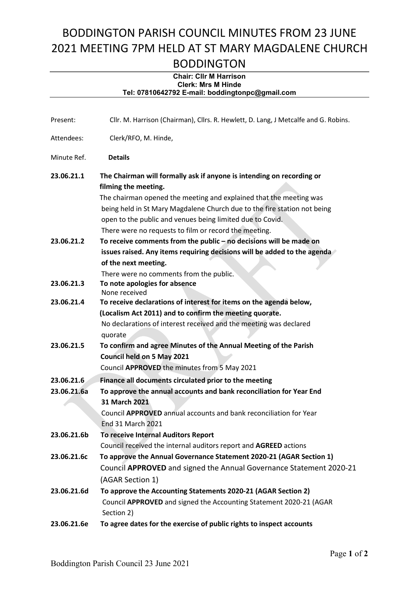## BODDINGTON PARISH COUNCIL MINUTES FROM 23 JUNE 2021 MEETING 7PM HELD AT ST MARY MAGDALENE CHURCH BODDINGTON

## Chair: Cllr M Harrison Clerk: Mrs M Hinde Tel: 07810642792 E-mail: boddingtonpc@gmail.com

| Present:                               | Cllr. M. Harrison (Chairman), Cllrs. R. Hewlett, D. Lang, J Metcalfe and G. Robins.                                                     |
|----------------------------------------|-----------------------------------------------------------------------------------------------------------------------------------------|
| Attendees:                             | Clerk/RFO, M. Hinde,                                                                                                                    |
| Minute Ref.                            | <b>Details</b>                                                                                                                          |
| 23.06.21.1                             | The Chairman will formally ask if anyone is intending on recording or                                                                   |
|                                        | filming the meeting.                                                                                                                    |
|                                        | The chairman opened the meeting and explained that the meeting was                                                                      |
|                                        | being held in St Mary Magdalene Church due to the fire station not being                                                                |
|                                        | open to the public and venues being limited due to Covid.                                                                               |
|                                        | There were no requests to film or record the meeting.                                                                                   |
| 23.06.21.2                             | To receive comments from the public $-$ no decisions will be made on                                                                    |
|                                        | issues raised. Any items requiring decisions will be added to the agenda                                                                |
|                                        | of the next meeting.                                                                                                                    |
|                                        | There were no comments from the public.                                                                                                 |
| 23.06.21.3<br>23.06.21.4<br>23.06.21.5 | To note apologies for absence                                                                                                           |
|                                        | None received                                                                                                                           |
|                                        | To receive declarations of interest for items on the agenda below,<br>(Localism Act 2011) and to confirm the meeting quorate.           |
|                                        | No declarations of interest received and the meeting was declared                                                                       |
|                                        | quorate                                                                                                                                 |
|                                        | To confirm and agree Minutes of the Annual Meeting of the Parish                                                                        |
|                                        | Council held on 5 May 2021                                                                                                              |
|                                        | Council APPROVED the minutes from 5 May 2021                                                                                            |
|                                        |                                                                                                                                         |
| 23.06.21.6                             | Finance all documents circulated prior to the meeting                                                                                   |
| 23.06.21.6a                            | To approve the annual accounts and bank reconciliation for Year End                                                                     |
|                                        | 31 March 2021                                                                                                                           |
|                                        | Council APPROVED annual accounts and bank reconciliation for Year<br><b>End 31 March 2021</b>                                           |
|                                        |                                                                                                                                         |
| 23.06.21.6b                            | To receive Internal Auditors Report                                                                                                     |
| 23.06.21.6c                            | Council received the internal auditors report and AGREED actions<br>To approve the Annual Governance Statement 2020-21 (AGAR Section 1) |
|                                        |                                                                                                                                         |
|                                        | Council APPROVED and signed the Annual Governance Statement 2020-21                                                                     |
|                                        | (AGAR Section 1)                                                                                                                        |
| 23.06.21.6d                            | To approve the Accounting Statements 2020-21 (AGAR Section 2)                                                                           |
|                                        | Council APPROVED and signed the Accounting Statement 2020-21 (AGAR                                                                      |
|                                        | Section 2)                                                                                                                              |
| 23.06.21.6e                            | To agree dates for the exercise of public rights to inspect accounts                                                                    |